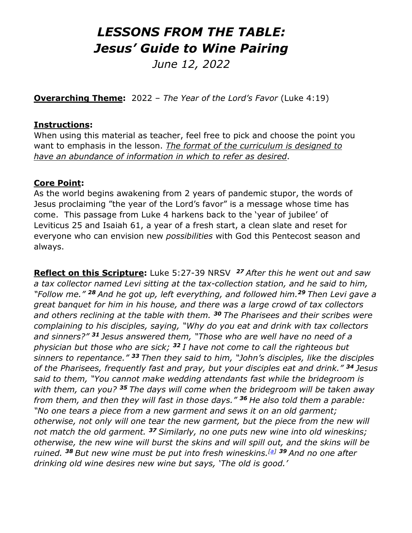# *LESSONS FROM THE TABLE: Jesus' Guide to Wine Pairing*

*June 12, 2022*

**Overarching Theme:** 2022 – *The Year of the Lord's Favor* (Luke 4:19)

#### **Instructions:**

When using this material as teacher, feel free to pick and choose the point you want to emphasis in the lesson. *The format of the curriculum is designed to have an abundance of information in which to refer as desired*.

#### **Core Point:**

As the world begins awakening from 2 years of pandemic stupor, the words of Jesus proclaiming "the year of the Lord's favor" is a message whose time has come. This passage from Luke 4 harkens back to the 'year of jubilee' of Leviticus 25 and Isaiah 61, a year of a fresh start, a clean slate and reset for everyone who can envision new *possibilities* with God this Pentecost season and always.

**Reflect on this Scripture:** Luke 5:27-39 NRSV *<sup>27</sup> After this he went out and saw a tax collector named Levi sitting at the tax-collection station, and he said to him, "Follow me." <sup>28</sup> And he got up, left everything, and followed him.<sup>29</sup> Then Levi gave a great banquet for him in his house, and there was a large crowd of tax collectors and others reclining at the table with them. <sup>30</sup> The Pharisees and their scribes were complaining to his disciples, saying, "Why do you eat and drink with tax collectors and sinners?" <sup>31</sup> Jesus answered them, "Those who are well have no need of a physician but those who are sick; <sup>32</sup> I have not come to call the righteous but sinners to repentance." <sup>33</sup> Then they said to him, "John's disciples, like the disciples of the Pharisees, frequently fast and pray, but your disciples eat and drink." <sup>34</sup> Jesus said to them, "You cannot make wedding attendants fast while the bridegroom is with them, can you? <sup>35</sup> The days will come when the bridegroom will be taken away from them, and then they will fast in those days." <sup>36</sup> He also told them a parable: "No one tears a piece from a new garment and sews it on an old garment; otherwise, not only will one tear the new garment, but the piece from the new will not match the old garment. <sup>37</sup> Similarly, no one puts new wine into old wineskins; otherwise, the new wine will burst the skins and will spill out, and the skins will be ruined. <sup>38</sup> But new wine must be put into fresh wineskins.[\[a\]](https://www.biblegateway.com/passage/?search=Luke5:27-39&version=NRSVUE;NIV;CEB#fen-NRSVUE-25138a) <sup>39</sup> And no one after drinking old wine desires new wine but says, 'The old is good.'*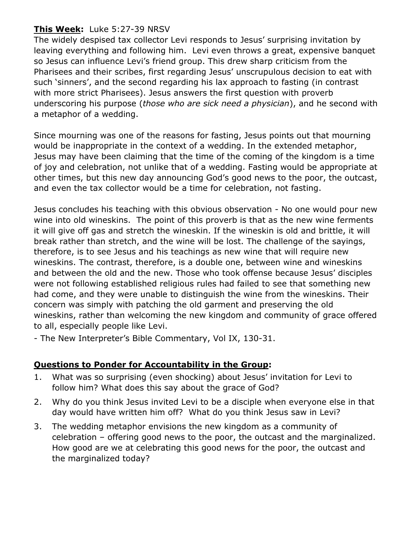## **This Week:** Luke 5:27-39 NRSV

The widely despised tax collector Levi responds to Jesus' surprising invitation by leaving everything and following him. Levi even throws a great, expensive banquet so Jesus can influence Levi's friend group. This drew sharp criticism from the Pharisees and their scribes, first regarding Jesus' unscrupulous decision to eat with such 'sinners', and the second regarding his lax approach to fasting (in contrast with more strict Pharisees). Jesus answers the first question with proverb underscoring his purpose (*those who are sick need a physician*), and he second with a metaphor of a wedding.

Since mourning was one of the reasons for fasting, Jesus points out that mourning would be inappropriate in the context of a wedding. In the extended metaphor, Jesus may have been claiming that the time of the coming of the kingdom is a time of joy and celebration, not unlike that of a wedding. Fasting would be appropriate at other times, but this new day announcing God's good news to the poor, the outcast, and even the tax collector would be a time for celebration, not fasting.

Jesus concludes his teaching with this obvious observation - No one would pour new wine into old wineskins. The point of this proverb is that as the new wine ferments it will give off gas and stretch the wineskin. If the wineskin is old and brittle, it will break rather than stretch, and the wine will be lost. The challenge of the sayings, therefore, is to see Jesus and his teachings as new wine that will require new wineskins. The contrast, therefore, is a double one, between wine and wineskins and between the old and the new. Those who took offense because Jesus' disciples were not following established religious rules had failed to see that something new had come, and they were unable to distinguish the wine from the wineskins. Their concern was simply with patching the old garment and preserving the old wineskins, rather than welcoming the new kingdom and community of grace offered to all, especially people like Levi.

- The New Interpreter's Bible Commentary, Vol IX, 130-31.

### **Questions to Ponder for Accountability in the Group:**

- 1. What was so surprising (even shocking) about Jesus' invitation for Levi to follow him? What does this say about the grace of God?
- 2. Why do you think Jesus invited Levi to be a disciple when everyone else in that day would have written him off? What do you think Jesus saw in Levi?
- 3. The wedding metaphor envisions the new kingdom as a community of celebration – offering good news to the poor, the outcast and the marginalized. How good are we at celebrating this good news for the poor, the outcast and the marginalized today?